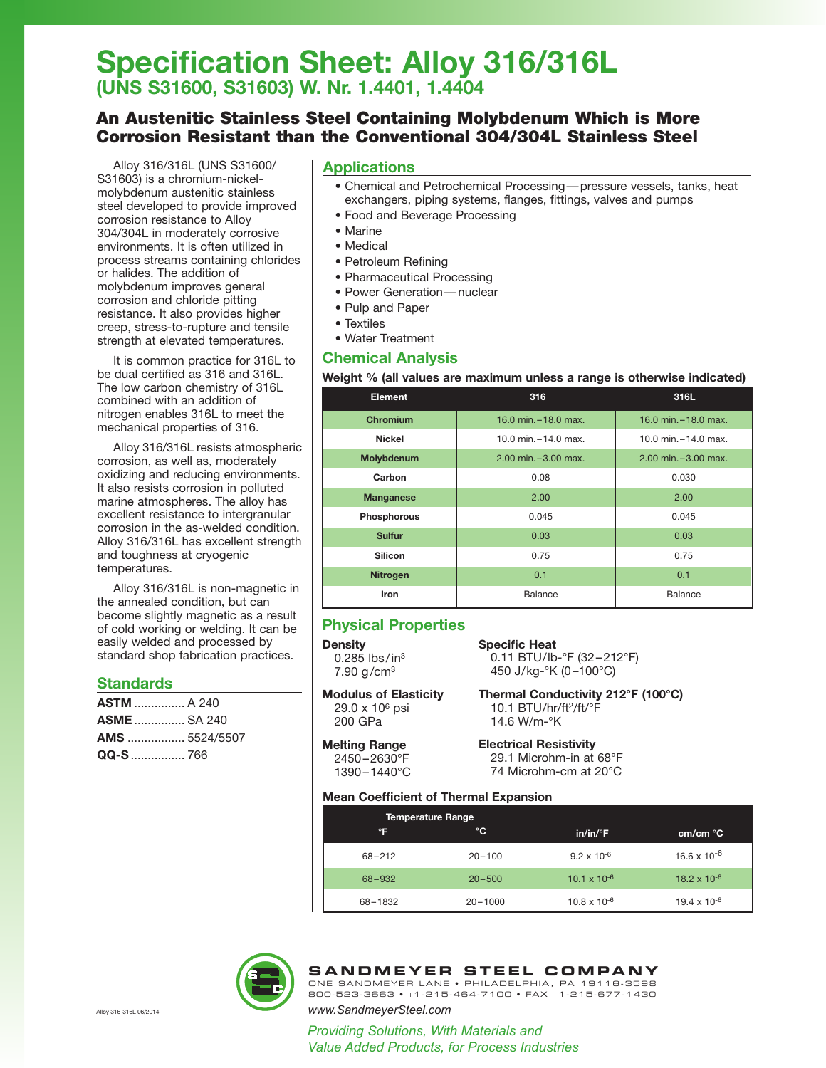# **Specification Sheet: Alloy 316/316L (UNS S31600, S31603) W. Nr. 1.4401, 1.4404**

# An Austenitic Stainless Steel Containing Molybdenum Which is More Corrosion Resistant than the Conventional 304/304L Stainless Steel

Alloy 316/316L (UNS S31600/ S31603) is a chromium-nickelmolybdenum austenitic stainless steel developed to provide improved corrosion resistance to Alloy 304/304L in moderately corrosive environments. It is often utilized in process streams containing chlorides or halides. The addition of molybdenum improves general corrosion and chloride pitting resistance. It also provides higher creep, stress-to-rupture and tensile strength at elevated temperatures.

It is common practice for 316L to be dual certified as 316 and 316L. The low carbon chemistry of 316L combined with an addition of nitrogen enables 316L to meet the mechanical properties of 316.

Alloy 316/316L resists atmospheric corrosion, as well as, moderately oxidizing and reducing environments. It also resists corrosion in polluted marine atmospheres. The alloy has excellent resistance to intergranular corrosion in the as-welded condition. Alloy 316/316L has excellent strength and toughness at cryogenic temperatures.

Alloy 316/316L is non-magnetic in the annealed condition, but can become slightly magnetic as a result of cold working or welding. It can be easily welded and processed by standard shop fabrication practices.

## **Standards**

| <b>ASTM</b> A 240    |  |
|----------------------|--|
| <b>ASME</b> SA 240   |  |
| <b>AMS</b> 5524/5507 |  |
|                      |  |

### **Applications**

- Chemical and Petrochemical Processing—pressure vessels, tanks, heat exchangers, piping systems, flanges, fittings, valves and pumps
- Food and Beverage Processing
- Marine
- Medical
- Petroleum Refining
- Pharmaceutical Processing
- Power Generation—nuclear
- Pulp and Paper
- Textiles
- Water Treatment

## **Chemical Analysis**

**Weight % (all values are maximum unless a range is otherwise indicated)**

| <b>Element</b>   | 316                      | 316L                     |  |
|------------------|--------------------------|--------------------------|--|
| <b>Chromium</b>  | 16.0 min. - 18.0 max.    | 16.0 min. - 18.0 max.    |  |
| <b>Nickel</b>    | 10.0 min. $-14.0$ max.   | 10.0 min. $-14.0$ max.   |  |
| Molybdenum       | $2.00$ min. $-3.00$ max. | $2.00$ min. $-3.00$ max. |  |
| Carbon           | 0.08                     | 0.030                    |  |
| <b>Manganese</b> | 2.00                     | 2.00                     |  |
| Phosphorous      | 0.045                    | 0.045                    |  |
| <b>Sulfur</b>    | 0.03                     | 0.03                     |  |
| <b>Silicon</b>   | 0.75                     | 0.75                     |  |
| <b>Nitrogen</b>  | 0.1                      | 0.1                      |  |
| <b>Iron</b>      | Balance                  | Balance                  |  |

## **Physical Properties**

**Density**

0.285 lbs/in3 7.90 g/cm3

**Specific Heat** 0.11 BTU/lb-°F (32–212°F) 450 J/kg-°K (0–100°C)

**Modulus of Elasticity** 29.0 x 106 psi 200 GPa

**Thermal Conductivity 212°F (100°C)** 10.1 BTU/hr/ft<sup>2</sup>/ft/°F 14.6 W/m-°K

**Melting Range** 2450–2630°F 1390–1440°C

#### **Electrical Resistivity** 29.1 Microhm-in at 68°F 74 Microhm-cm at 20°C

#### **Mean Coefficient of Thermal Expansion**

| <b>Temperature Range</b> |             |                       |                         |
|--------------------------|-------------|-----------------------|-------------------------|
| °F                       | ℃           | $in/in/{}^{\circ}F$   | cm/cm °C                |
| $68 - 212$               | $20 - 100$  | $9.2 \times 10^{-6}$  | 16.6 x 10 <sup>-6</sup> |
| 68-932                   | $20 - 500$  | $10.1 \times 10^{-6}$ | $18.2 \times 10^{-6}$   |
| 68-1832                  | $20 - 1000$ | $10.8 \times 10^{-6}$ | $19.4 \times 10^{-6}$   |



# **SANDMEYER STEEL COMPANY**

ONE SANDMEYER LANE • PHILADELPHIA, PA 19116-3598 800-523-3663 • +1-215-464-7100 • FAX +1-215-677-1430

Alloy 316-316L 06/2014 *www.SandmeyerSteel.com*

*Providing Solutions, With Materials and Value Added Products, for Process Industries*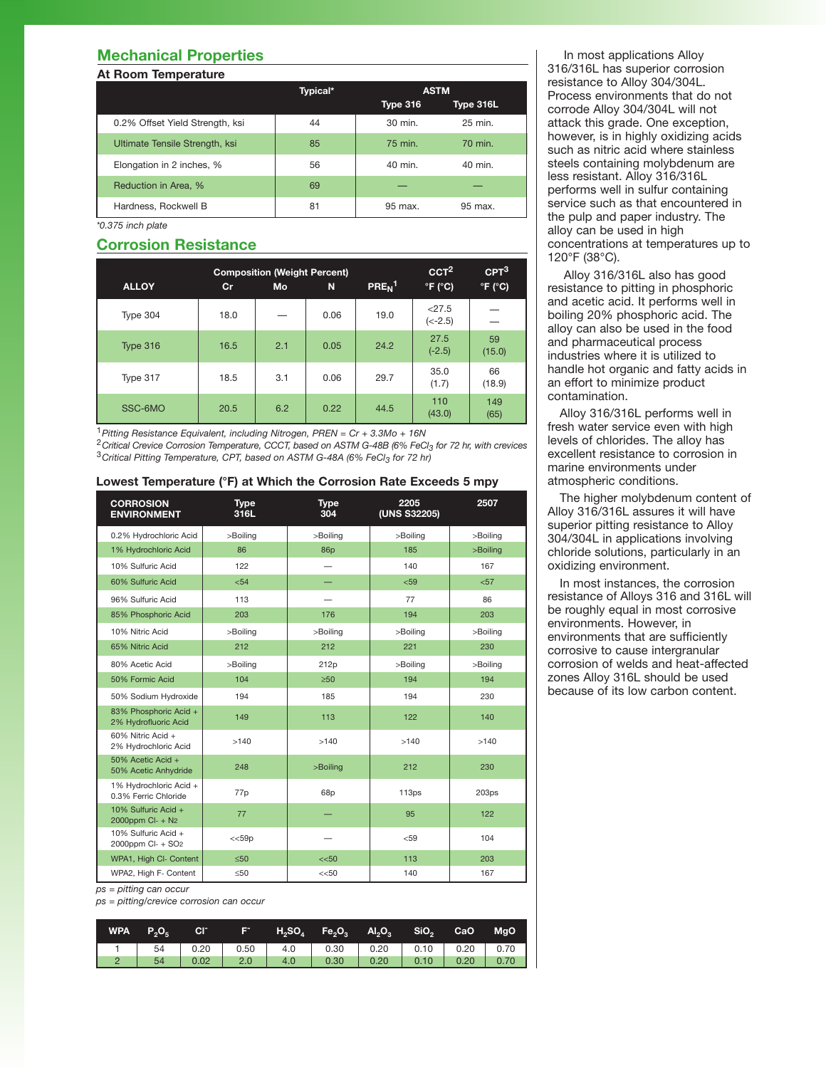# **Mechanical Properties**

#### **At Room Temperature**

|                                 | Typical* | <b>ASTM</b>     |           |  |
|---------------------------------|----------|-----------------|-----------|--|
|                                 |          | <b>Type 316</b> | Type 316L |  |
| 0.2% Offset Yield Strength, ksi | 44       | 30 min.         | 25 min.   |  |
| Ultimate Tensile Strength, ksi  | 85       | 75 min.         | 70 min.   |  |
| Elongation in 2 inches, %       | 56       | 40 min.         | 40 min.   |  |
| Reduction in Area, %            | 69       |                 |           |  |
| Hardness, Rockwell B            | 81       | 95 max.         | 95 max.   |  |

*\*0.375 inch plate*

### **Corrosion Resistance**

| <b>ALLOY</b> | cr   | <b>Composition (Weight Percent)</b><br><b>Mo</b> | N    | PRE <sub>N</sub> <sup>1</sup> | CCT <sup>2</sup><br>$\degree$ F ( $\degree$ C) | CPT <sup>3</sup><br>$\degree$ F ( $\degree$ C) |
|--------------|------|--------------------------------------------------|------|-------------------------------|------------------------------------------------|------------------------------------------------|
| Type 304     | 18.0 |                                                  | 0.06 | 19.0                          | < 27.5<br>$(< -2.5)$                           |                                                |
| Type 316     | 16.5 | 2.1                                              | 0.05 | 24.2                          | 27.5<br>$(-2.5)$                               | 59<br>(15.0)                                   |
| Type 317     | 18.5 | 3.1                                              | 0.06 | 29.7                          | 35.0<br>(1.7)                                  | 66<br>(18.9)                                   |
| SSC-6MO      | 20.5 | 6.2                                              | 0.22 | 44.5                          | 110<br>(43.0)                                  | 149<br>(65)                                    |

<sup>1</sup>*Pitting Resistance Equivalent, including Nitrogen, PREN = Cr + 3.3Mo + 16N*

<sup>2</sup> Critical Crevice Corrosion Temperature, CCCT, based on ASTM G-48B (6% FeCl<sub>3</sub> for 72 hr, with crevices<br><sup>3</sup>Critical Pitting Temperature, CPT, based on ASTM G-48A (6% FeCl<sub>3</sub> for 72 hr)

#### **Lowest Temperature (°F) at Which the Corrosion Rate Exceeds 5 mpy**

| <b>CORROSION</b><br><b>ENVIRONMENT</b>               | <b>Type</b><br>316L | <b>Type</b><br>304 | 2205<br>(UNS S32205) | 2507     |
|------------------------------------------------------|---------------------|--------------------|----------------------|----------|
| 0.2% Hydrochloric Acid                               | >Boiling            | >Boiling           | >Boiling             | >Boiling |
| 1% Hydrochloric Acid                                 | 86                  | 86 <sub>p</sub>    | 185                  | >Boiling |
| 10% Sulfuric Acid                                    | 122                 |                    | 140                  | 167      |
| 60% Sulfuric Acid                                    | < 54                |                    | < 59                 | $57$     |
| 96% Sulfuric Acid                                    | 113                 |                    | 77                   | 86       |
| 85% Phosphoric Acid                                  | 203                 | 176                | 194                  | 203      |
| 10% Nitric Acid                                      | >Boiling            | >Boiling           | >Boiling             | >Boiling |
| 65% Nitric Acid                                      | 212                 | 212                | 221                  | 230      |
| 80% Acetic Acid                                      | >Boiling            | 212p               | >Boiling             | >Boiling |
| 50% Formic Acid                                      | 104                 | $\geq 50$          | 194                  | 194      |
| 50% Sodium Hydroxide                                 | 194                 | 185                | 194                  | 230      |
| 83% Phosphoric Acid +<br>2% Hydrofluoric Acid        | 149                 | 113                | 122                  | 140      |
| 60% Nitric Acid +<br>2% Hydrochloric Acid            | >140                | >140               | >140                 | >140     |
| 50% Acetic Acid +<br>50% Acetic Anhydride            | 248                 | >Boiling           | 212                  | 230      |
| 1% Hydrochloric Acid +<br>0.3% Ferric Chloride       | 77p                 | 68p                | 113 <sub>ps</sub>    | 203ps    |
| 10% Sulfuric Acid +<br>2000ppm Cl- + N2              | 77                  |                    | 95                   | 122      |
| 10% Sulfuric Acid +<br>2000ppm Cl- + SO <sub>2</sub> | <<59p               |                    | < 59                 | 104      |
| WPA1, High Cl- Content                               | ≤50                 | << 50              | 113                  | 203      |
| WPA2, High F- Content                                | ≤50                 | <<50               | 140                  | 167      |

*ps = pitting can occur*

*ps = pitting/crevice corrosion can occur*

| WPA $P_2O_5$ | CIT. |  | $F^+$ H <sub>2</sub> SO <sub>4</sub> Fe <sub>2</sub> O <sub>3</sub> Al <sub>2</sub> O <sub>3</sub> SiO <sub>2</sub> |  | CaO | <b>MgO</b> |
|--------------|------|--|---------------------------------------------------------------------------------------------------------------------|--|-----|------------|
|              |      |  |                                                                                                                     |  |     |            |
|              |      |  |                                                                                                                     |  |     |            |

In most applications Alloy 316/316L has superior corrosion resistance to Alloy 304/304L. Process environments that do not corrode Alloy 304/304L will not attack this grade. One exception, however, is in highly oxidizing acids such as nitric acid where stainless steels containing molybdenum are less resistant. Alloy 316/316L performs well in sulfur containing service such as that encountered in the pulp and paper industry. The alloy can be used in high concentrations at temperatures up to 120°F (38°C).

Alloy 316/316L also has good resistance to pitting in phosphoric and acetic acid. It performs well in boiling 20% phosphoric acid. The alloy can also be used in the food and pharmaceutical process industries where it is utilized to handle hot organic and fatty acids in an effort to minimize product contamination.

Alloy 316/316L performs well in fresh water service even with high levels of chlorides. The alloy has excellent resistance to corrosion in marine environments under atmospheric conditions.

The higher molybdenum content of Alloy 316/316L assures it will have superior pitting resistance to Alloy 304/304L in applications involving chloride solutions, particularly in an oxidizing environment.

In most instances, the corrosion resistance of Alloys 316 and 316L will be roughly equal in most corrosive environments. However, in environments that are sufficiently corrosive to cause intergranular corrosion of welds and heat-affected zones Alloy 316L should be used because of its low carbon content.